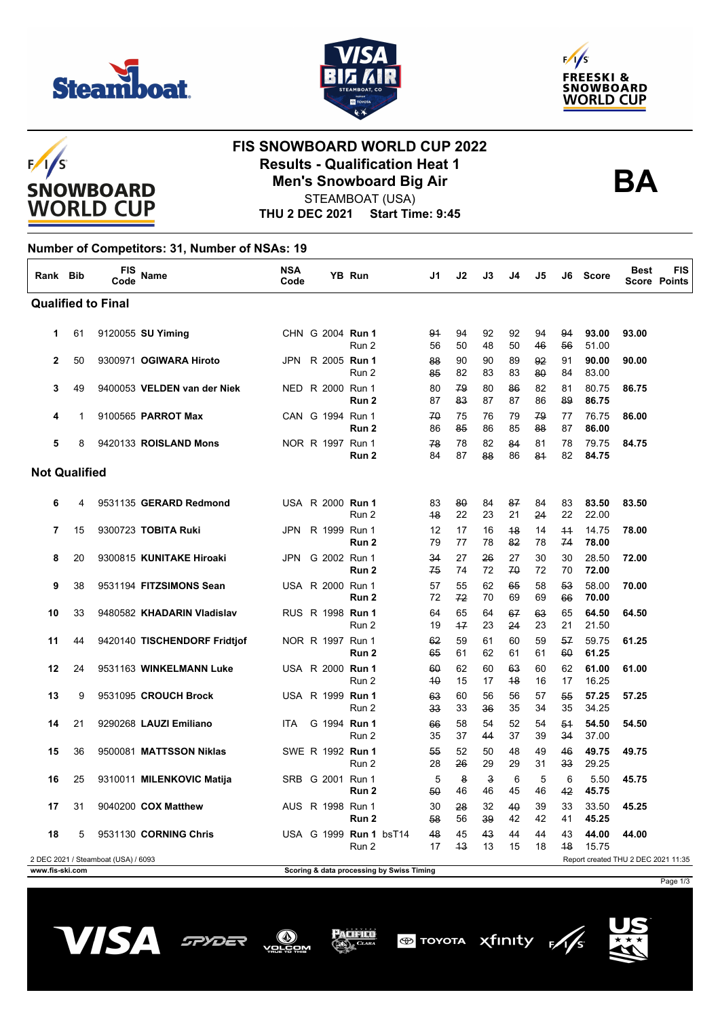





# $F/I/S$ **SNOWBOARD WORLD CUP**

## **FIS SNOWBOARD WORLD CUP 2022 Results - Qualification Heat 1 Men's Snowboard Big Air**



STEAMBOAT (USA)

**THU 2 DEC 2021 Start Time: 9:45**

#### **Number of Competitors: 31, Number of NSAs: 19**

| Rank Bib                  |    | <b>FIS</b><br>Code                  | Name                         | <b>NSA</b><br>Code |  |  | YB Run                                    | J1       | J2       | J3       | J4       | J5       | J6         | <b>Score</b>                        | Best  | <b>FIS</b><br><b>Score Points</b> |
|---------------------------|----|-------------------------------------|------------------------------|--------------------|--|--|-------------------------------------------|----------|----------|----------|----------|----------|------------|-------------------------------------|-------|-----------------------------------|
| <b>Qualified to Final</b> |    |                                     |                              |                    |  |  |                                           |          |          |          |          |          |            |                                     |       |                                   |
| 1                         | 61 |                                     | 9120055 SU Yiming            |                    |  |  | CHN G 2004 Run 1<br>Run 2                 | 94<br>56 | 94<br>50 | 92<br>48 | 92<br>50 | 94<br>46 | 94<br>56   | 93.00<br>51.00                      | 93.00 |                                   |
| $\mathbf{2}$              | 50 |                                     | 9300971 OGIWARA Hiroto       |                    |  |  | JPN R 2005 Run 1<br>Run 2                 | 88<br>85 | 90<br>82 | 90<br>83 | 89<br>83 | 92<br>80 | 91<br>84   | 90.00<br>83.00                      | 90.00 |                                   |
| 3                         | 49 |                                     | 9400053 VELDEN van der Niek  |                    |  |  | NED R 2000 Run 1<br>Run 2                 | 80<br>87 | 79<br>83 | 80<br>87 | 86<br>87 | 82<br>86 | 81<br>89   | 80.75<br>86.75                      | 86.75 |                                   |
| 4                         | 1  |                                     | 9100565 PARROT Max           |                    |  |  | CAN G 1994 Run 1<br>Run 2                 | 70<br>86 | 75<br>85 | 76<br>86 | 79<br>85 | 79<br>88 | 77<br>87   | 76.75<br>86.00                      | 86.00 |                                   |
| 5                         | 8  |                                     | 9420133 ROISLAND Mons        |                    |  |  | NOR R 1997 Run 1<br>Run 2                 | 78<br>84 | 78<br>87 | 82<br>88 | 84<br>86 | 81<br>81 | 78<br>82   | 79.75<br>84.75                      | 84.75 |                                   |
| <b>Not Qualified</b>      |    |                                     |                              |                    |  |  |                                           |          |          |          |          |          |            |                                     |       |                                   |
| 6                         | 4  |                                     | 9531135 GERARD Redmond       |                    |  |  | USA R 2000 <b>Run 1</b><br>Run 2          | 83<br>48 | 80<br>22 | 84<br>23 | 87<br>21 | 84<br>24 | 83<br>22   | 83.50<br>22.00                      | 83.50 |                                   |
| 7                         | 15 |                                     | 9300723 TOBITA Ruki          | <b>JPN</b>         |  |  | R 1999 Run 1<br>Run 2                     | 12<br>79 | 17<br>77 | 16<br>78 | 48<br>82 | 14<br>78 | $+4$<br>74 | 14.75<br>78.00                      | 78.00 |                                   |
| 8                         | 20 |                                     | 9300815 KUNITAKE Hiroaki     | JPN                |  |  | G 2002 Run 1<br>Run 2                     | 34<br>75 | 27<br>74 | 26<br>72 | 27<br>70 | 30<br>72 | 30<br>70   | 28.50<br>72.00                      | 72.00 |                                   |
| 9                         | 38 |                                     | 9531194 FITZSIMONS Sean      |                    |  |  | USA R 2000 Run 1<br>Run 2                 | 57<br>72 | 55<br>72 | 62<br>70 | 65<br>69 | 58<br>69 | 53<br>66   | 58.00<br>70.00                      | 70.00 |                                   |
| 10                        | 33 |                                     | 9480582 KHADARIN Vladislav   |                    |  |  | RUS R 1998 <b>Run 1</b><br>Run 2          | 64<br>19 | 65<br>17 | 64<br>23 | 67<br>24 | 63<br>23 | 65<br>21   | 64.50<br>21.50                      | 64.50 |                                   |
| 11                        | 44 |                                     | 9420140 TISCHENDORF Fridtjof |                    |  |  | NOR R 1997 Run 1<br>Run 2                 | 62<br>65 | 59<br>61 | 61<br>62 | 60<br>61 | 59<br>61 | 57<br>60   | 59.75<br>61.25                      | 61.25 |                                   |
| 12                        | 24 |                                     | 9531163 WINKELMANN Luke      |                    |  |  | USA R 2000 Run 1<br>Run 2                 | 60<br>40 | 62<br>15 | 60<br>17 | 63<br>48 | 60<br>16 | 62<br>17   | 61.00<br>16.25                      | 61.00 |                                   |
| 13                        | 9  |                                     | 9531095 CROUCH Brock         |                    |  |  | USA R 1999 Run 1<br>Run 2                 | 63<br>33 | 60<br>33 | 56<br>36 | 56<br>35 | 57<br>34 | 55<br>35   | 57.25<br>34.25                      | 57.25 |                                   |
| 14                        | 21 |                                     | 9290268 LAUZI Emiliano       | <b>ITA</b>         |  |  | G 1994 Run 1<br>Run 2                     | 66<br>35 | 58<br>37 | 54<br>44 | 52<br>37 | 54<br>39 | 54<br>34   | 54.50<br>37.00                      | 54.50 |                                   |
| 15                        | 36 |                                     | 9500081 MATTSSON Niklas      |                    |  |  | SWE R 1992 Run 1<br>Run 2                 | 55<br>28 | 52<br>26 | 50<br>29 | 48<br>29 | 49<br>31 | 46<br>33   | 49.75<br>29.25                      | 49.75 |                                   |
| 16                        | 25 |                                     | 9310011 MILENKOVIC Matija    |                    |  |  | SRB G 2001 Run 1<br>Run 2                 | 5<br>50  | 8<br>46  | з<br>46  | 6<br>45  | 5<br>46  | 6<br>42    | 5.50<br>45.75                       | 45.75 |                                   |
| 17                        | 31 |                                     | 9040200 COX Matthew          |                    |  |  | AUS R 1998 Run 1<br>Run 2                 | 30<br>58 | 28<br>56 | 32<br>39 | 40<br>42 | 39<br>42 | 33<br>41   | 33.50<br>45.25                      | 45.25 |                                   |
| 18                        | 5  |                                     | 9531130 CORNING Chris        |                    |  |  | USA G 1999 Run 1 bsT14<br>Run 2           | 48<br>17 | 45<br>43 | 43<br>13 | 44<br>15 | 44<br>18 | 43<br>48   | 44.00<br>15.75                      | 44.00 |                                   |
|                           |    | 2 DEC 2021 / Steamboat (USA) / 6093 |                              |                    |  |  |                                           |          |          |          |          |          |            | Report created THU 2 DEC 2021 11:35 |       |                                   |
| www.fis-ski.com           |    |                                     |                              |                    |  |  | Scoring & data processing by Swiss Timing |          |          |          |          |          |            |                                     |       |                                   |

Page 1/3







Acifico





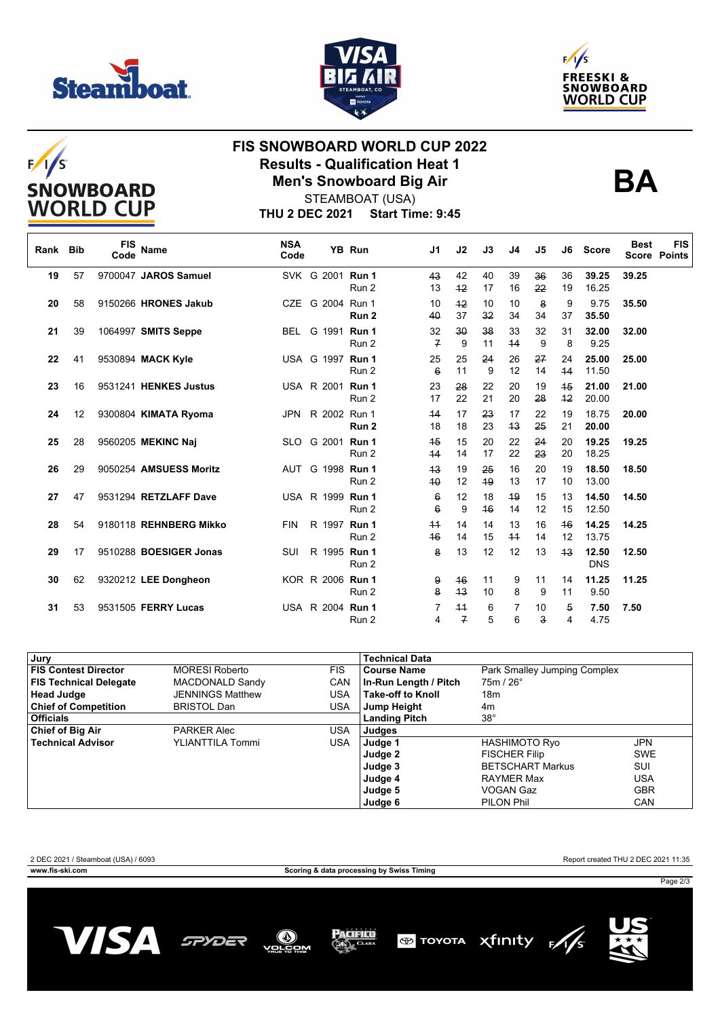







## **FIS SNOWBOARD WORLD CUP 2022 Results - Qualification Heat 1 Men's Snowboard Big Air**



**THU 2 DEC 2021 Start Time: 9:45** STEAMBOAT (USA)

| Rank Bib |    | <b>FIS</b><br>Code | Name                   | <b>NSA</b><br>Code |  | <b>YB Run</b>             | J <sub>1</sub>        | J2                   | J3       | J4         | J5       | J6       | <b>Score</b>        | <b>Best</b> | <b>FIS</b><br><b>Score Points</b> |
|----------|----|--------------------|------------------------|--------------------|--|---------------------------|-----------------------|----------------------|----------|------------|----------|----------|---------------------|-------------|-----------------------------------|
| 19       | 57 |                    | 9700047 JAROS Samuel   |                    |  | SVK G 2001 Run 1<br>Run 2 | 43<br>13              | 42<br>$+2$           | 40<br>17 | 39<br>16   | 36<br>22 | 36<br>19 | 39.25<br>16.25      | 39.25       |                                   |
| 20       | 58 |                    | 9150266 HRONES Jakub   |                    |  | CZE G 2004 Run 1<br>Run 2 | 10<br>40              | $+2$<br>37           | 10<br>32 | 10<br>34   | 8<br>34  | 9<br>37  | 9.75<br>35.50       | 35.50       |                                   |
| 21       | 39 |                    | 1064997 SMITS Seppe    | <b>BEL</b>         |  | G 1991 Run 1<br>Run 2     | 32<br>$\overline{f}$  | 30<br>9              | 38<br>11 | 33<br>44   | 32<br>9  | 31<br>8  | 32.00<br>9.25       | 32.00       |                                   |
| 22       | 41 |                    | 9530894 MACK Kyle      |                    |  | USA G 1997 Run 1<br>Run 2 | 25<br>$6\overline{6}$ | 25<br>11             | 24<br>9  | 26<br>12   | 27<br>14 | 24<br>44 | 25.00<br>11.50      | 25.00       |                                   |
| 23       | 16 |                    | 9531241 HENKES Justus  |                    |  | USA R 2001 Run 1<br>Run 2 | 23<br>17              | 28<br>22             | 22<br>21 | 20<br>20   | 19<br>28 | 45<br>42 | 21.00<br>20.00      | 21.00       |                                   |
| 24       | 12 |                    | 9300804 KIMATA Ryoma   | JPN.               |  | R 2002 Run 1<br>Run 2     | 44<br>18              | 17<br>18             | 23<br>23 | 17<br>43   | 22<br>25 | 19<br>21 | 18.75<br>20.00      | 20.00       |                                   |
| 25       | 28 |                    | 9560205 MEKINC Naj     |                    |  | SLO G 2001 Run 1<br>Run 2 | 45<br>44              | 15<br>14             | 20<br>17 | 22<br>22   | 24<br>23 | 20<br>20 | 19.25<br>18.25      | 19.25       |                                   |
| 26       | 29 |                    | 9050254 AMSUESS Moritz | AUT                |  | G 1998 Run 1<br>Run 2     | 43<br>40              | 19<br>12             | 25<br>49 | 16<br>13   | 20<br>17 | 19<br>10 | 18.50<br>13.00      | 18.50       |                                   |
| 27       | 47 |                    | 9531294 RETZLAFF Dave  |                    |  | USA R 1999 Run 1<br>Run 2 | 6<br>$6\overline{6}$  | 12<br>9              | 18<br>46 | 49<br>14   | 15<br>12 | 13<br>15 | 14.50<br>12.50      | 14.50       |                                   |
| 28       | 54 |                    | 9180118 REHNBERG Mikko | <b>FIN</b>         |  | R 1997 Run 1<br>Run 2     | $+4$<br>46            | 14<br>14             | 14<br>15 | 13<br>$+4$ | 16<br>14 | 46<br>12 | 14.25<br>13.75      | 14.25       |                                   |
| 29       | 17 |                    | 9510288 BOESIGER Jonas | SUI                |  | R 1995 Run 1<br>Run 2     | 8                     | 13                   | 12       | 12         | 13       | 43       | 12.50<br><b>DNS</b> | 12.50       |                                   |
| 30       | 62 |                    | 9320212 LEE Dongheon   |                    |  | KOR R 2006 Run 1<br>Run 2 | 9<br>8                | 46<br>43             | 11<br>10 | 9<br>8     | 11<br>9  | 14<br>11 | 11.25<br>9.50       | 11.25       |                                   |
| 31       | 53 |                    | 9531505 FERRY Lucas    |                    |  | USA R 2004 Run 1<br>Run 2 | 7<br>4                | 44<br>$\overline{f}$ | 6<br>5   | 7<br>6     | 10<br>3  | 5<br>4   | 7.50<br>4.75        | 7.50        |                                   |

| Jury                          |                         |            | <b>Technical Data</b>    |                              |            |  |  |
|-------------------------------|-------------------------|------------|--------------------------|------------------------------|------------|--|--|
| <b>FIS Contest Director</b>   | <b>MORESI Roberto</b>   | <b>FIS</b> | <b>Course Name</b>       | Park Smalley Jumping Complex |            |  |  |
| <b>FIS Technical Delegate</b> | MACDONALD Sandy         | <b>CAN</b> | In-Run Length / Pitch    | $75m/26^\circ$               |            |  |  |
| <b>Head Judge</b>             | <b>JENNINGS Matthew</b> | USA        | <b>Take-off to Knoll</b> |                              |            |  |  |
| <b>Chief of Competition</b>   | <b>BRISTOL Dan</b>      | USA        | Jump Height              | 4m                           |            |  |  |
| <b>Officials</b>              |                         |            | <b>Landing Pitch</b>     | $38^\circ$                   |            |  |  |
| <b>Chief of Big Air</b>       | <b>PARKER Alec</b>      | USA        | Judges                   |                              |            |  |  |
| <b>Technical Advisor</b>      | YLIANTTILA Tommi        | <b>USA</b> | Judge 1                  | <b>HASHIMOTO Ryo</b>         | <b>JPN</b> |  |  |
|                               |                         |            | Judge 2                  | <b>FISCHER Filip</b>         | <b>SWE</b> |  |  |
|                               |                         |            | Judge 3                  | <b>BETSCHART Markus</b>      | SUI        |  |  |
|                               |                         |            | Judge 4                  | <b>RAYMER Max</b>            | USA        |  |  |
|                               |                         |            | Judge 5                  | VOGAN Gaz                    | <b>GBR</b> |  |  |
|                               |                         |            | Judge 6                  | PILON Phil                   | CAN        |  |  |